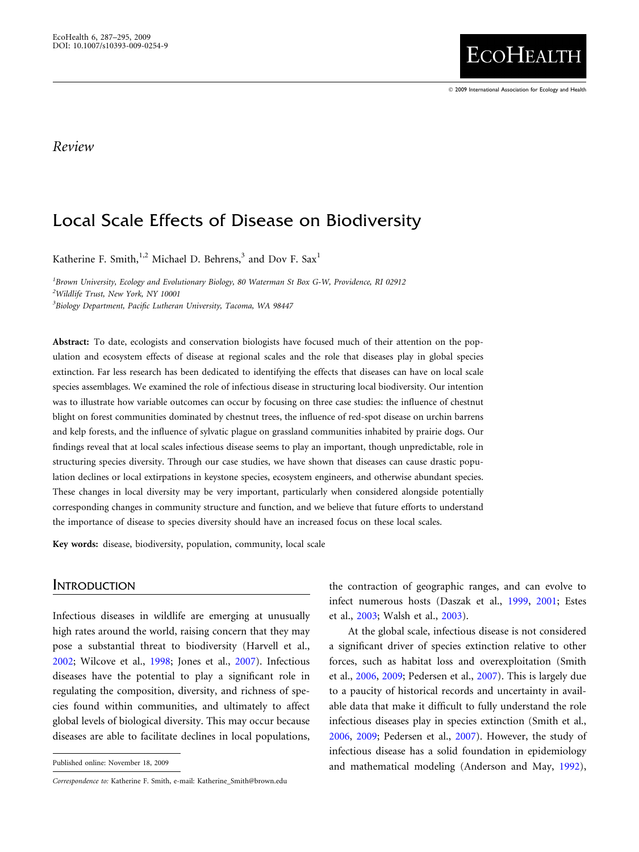## Review

# Local Scale Effects of Disease on Biodiversity

Katherine F. Smith,<sup>1,2</sup> Michael D. Behrens,<sup>3</sup> and Dov F. Sax<sup>1</sup>

 $^{\textit{i}}$ Brown University, Ecology and Evolutionary Biology, 80 Waterman St Box G-W, Providence, RI 02912 <sup>2</sup>Wildlife Trust, New York, NY 10001 <sup>3</sup>Biology Department, Pacific Lutheran University, Tacoma, WA 98447

Abstract: To date, ecologists and conservation biologists have focused much of their attention on the population and ecosystem effects of disease at regional scales and the role that diseases play in global species extinction. Far less research has been dedicated to identifying the effects that diseases can have on local scale species assemblages. We examined the role of infectious disease in structuring local biodiversity. Our intention was to illustrate how variable outcomes can occur by focusing on three case studies: the influence of chestnut blight on forest communities dominated by chestnut trees, the influence of red-spot disease on urchin barrens and kelp forests, and the influence of sylvatic plague on grassland communities inhabited by prairie dogs. Our findings reveal that at local scales infectious disease seems to play an important, though unpredictable, role in structuring species diversity. Through our case studies, we have shown that diseases can cause drastic population declines or local extirpations in keystone species, ecosystem engineers, and otherwise abundant species. These changes in local diversity may be very important, particularly when considered alongside potentially corresponding changes in community structure and function, and we believe that future efforts to understand the importance of disease to species diversity should have an increased focus on these local scales.

Key words: disease, biodiversity, population, community, local scale

#### **INTRODUCTION**

Infectious diseases in wildlife are emerging at unusually high rates around the world, raising concern that they may pose a substantial threat to biodiversity (Harvell et al., [2002](#page-7-0); Wilcove et al., [1998](#page-8-0); Jones et al., [2007\)](#page-7-0). Infectious diseases have the potential to play a significant role in regulating the composition, diversity, and richness of species found within communities, and ultimately to affect global levels of biological diversity. This may occur because diseases are able to facilitate declines in local populations,

the contraction of geographic ranges, and can evolve to infect numerous hosts (Daszak et al., [1999](#page-7-0), [2001;](#page-7-0) Estes et al., [2003;](#page-7-0) Walsh et al., [2003\)](#page-8-0).

At the global scale, infectious disease is not considered a significant driver of species extinction relative to other forces, such as habitat loss and overexploitation (Smith et al., [2006,](#page-8-0) [2009](#page-8-0); Pedersen et al., [2007](#page-8-0)). This is largely due to a paucity of historical records and uncertainty in available data that make it difficult to fully understand the role infectious diseases play in species extinction (Smith et al., [2006](#page-8-0), [2009](#page-8-0); Pedersen et al., [2007](#page-8-0)). However, the study of infectious disease has a solid foundation in epidemiology Published online: November 18, 2009 and mathematical modeling (Anderson and May, [1992\)](#page-7-0),

Correspondence to: Katherine F. Smith, e-mail: Katherine\_Smith@brown.edu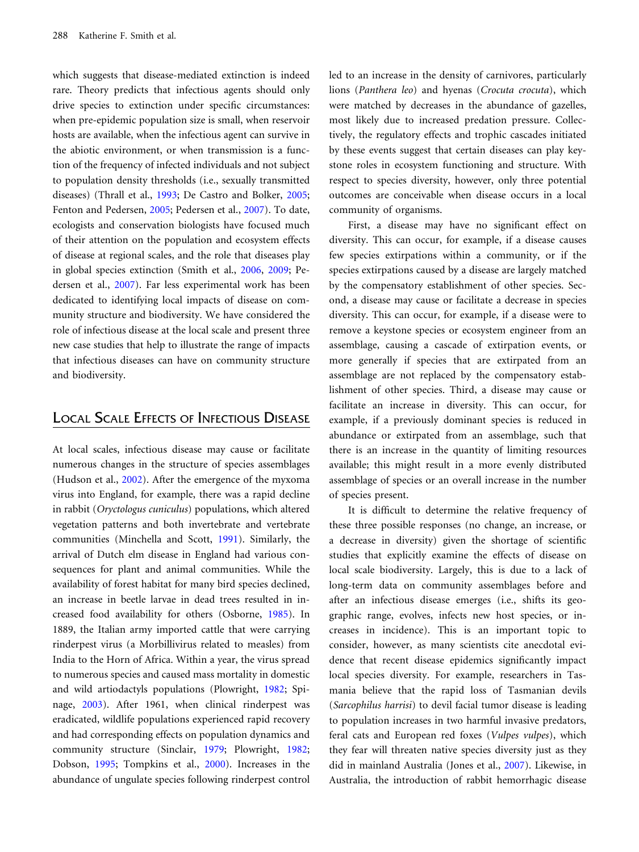which suggests that disease-mediated extinction is indeed rare. Theory predicts that infectious agents should only drive species to extinction under specific circumstances: when pre-epidemic population size is small, when reservoir hosts are available, when the infectious agent can survive in the abiotic environment, or when transmission is a function of the frequency of infected individuals and not subject to population density thresholds (i.e., sexually transmitted diseases) (Thrall et al., [1993;](#page-8-0) De Castro and Bolker, [2005;](#page-7-0) Fenton and Pedersen, [2005](#page-7-0); Pedersen et al., [2007\)](#page-8-0). To date, ecologists and conservation biologists have focused much of their attention on the population and ecosystem effects of disease at regional scales, and the role that diseases play in global species extinction (Smith et al., [2006,](#page-8-0) [2009](#page-8-0); Pedersen et al., [2007\)](#page-8-0). Far less experimental work has been dedicated to identifying local impacts of disease on community structure and biodiversity. We have considered the role of infectious disease at the local scale and present three new case studies that help to illustrate the range of impacts that infectious diseases can have on community structure and biodiversity.

### LOCAL SCALE EFFECTS OF INFECTIOUS DISEASE

At local scales, infectious disease may cause or facilitate numerous changes in the structure of species assemblages (Hudson et al., [2002](#page-7-0)). After the emergence of the myxoma virus into England, for example, there was a rapid decline in rabbit (Oryctologus cuniculus) populations, which altered vegetation patterns and both invertebrate and vertebrate communities (Minchella and Scott, [1991\)](#page-8-0). Similarly, the arrival of Dutch elm disease in England had various consequences for plant and animal communities. While the availability of forest habitat for many bird species declined, an increase in beetle larvae in dead trees resulted in increased food availability for others (Osborne, [1985\)](#page-8-0). In 1889, the Italian army imported cattle that were carrying rinderpest virus (a Morbillivirus related to measles) from India to the Horn of Africa. Within a year, the virus spread to numerous species and caused mass mortality in domestic and wild artiodactyls populations (Plowright, [1982](#page-8-0); Spinage, [2003](#page-8-0)). After 1961, when clinical rinderpest was eradicated, wildlife populations experienced rapid recovery and had corresponding effects on population dynamics and community structure (Sinclair, [1979](#page-8-0); Plowright, [1982;](#page-8-0) Dobson, [1995](#page-7-0); Tompkins et al., [2000\)](#page-8-0). Increases in the abundance of ungulate species following rinderpest control led to an increase in the density of carnivores, particularly lions (Panthera leo) and hyenas (Crocuta crocuta), which were matched by decreases in the abundance of gazelles, most likely due to increased predation pressure. Collectively, the regulatory effects and trophic cascades initiated by these events suggest that certain diseases can play keystone roles in ecosystem functioning and structure. With respect to species diversity, however, only three potential outcomes are conceivable when disease occurs in a local community of organisms.

First, a disease may have no significant effect on diversity. This can occur, for example, if a disease causes few species extirpations within a community, or if the species extirpations caused by a disease are largely matched by the compensatory establishment of other species. Second, a disease may cause or facilitate a decrease in species diversity. This can occur, for example, if a disease were to remove a keystone species or ecosystem engineer from an assemblage, causing a cascade of extirpation events, or more generally if species that are extirpated from an assemblage are not replaced by the compensatory establishment of other species. Third, a disease may cause or facilitate an increase in diversity. This can occur, for example, if a previously dominant species is reduced in abundance or extirpated from an assemblage, such that there is an increase in the quantity of limiting resources available; this might result in a more evenly distributed assemblage of species or an overall increase in the number of species present.

It is difficult to determine the relative frequency of these three possible responses (no change, an increase, or a decrease in diversity) given the shortage of scientific studies that explicitly examine the effects of disease on local scale biodiversity. Largely, this is due to a lack of long-term data on community assemblages before and after an infectious disease emerges (i.e., shifts its geographic range, evolves, infects new host species, or increases in incidence). This is an important topic to consider, however, as many scientists cite anecdotal evidence that recent disease epidemics significantly impact local species diversity. For example, researchers in Tasmania believe that the rapid loss of Tasmanian devils (Sarcophilus harrisi) to devil facial tumor disease is leading to population increases in two harmful invasive predators, feral cats and European red foxes (Vulpes vulpes), which they fear will threaten native species diversity just as they did in mainland Australia (Jones et al., [2007\)](#page-7-0). Likewise, in Australia, the introduction of rabbit hemorrhagic disease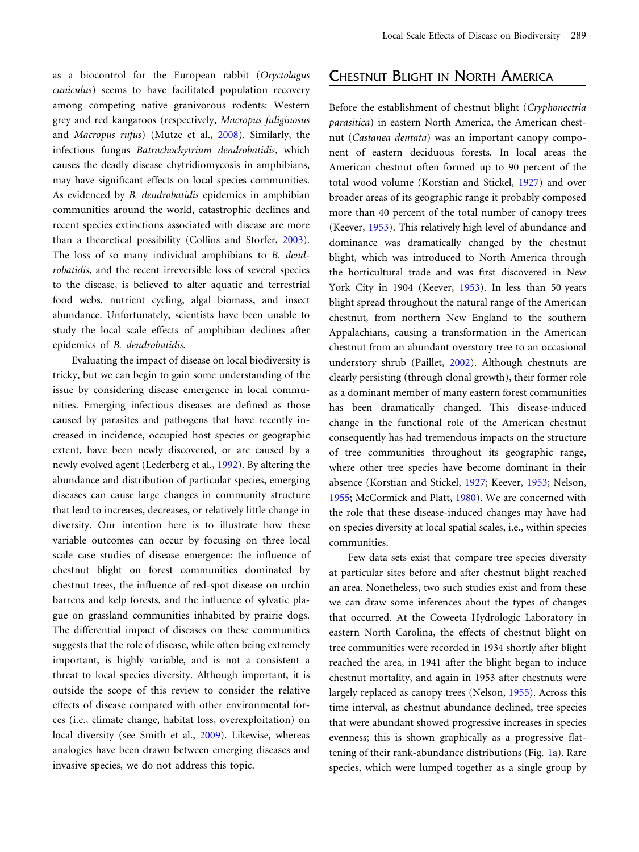as a biocontrol for the European rabbit (Oryctolagus cuniculus) seems to have facilitated population recovery among competing native granivorous rodents: Western grey and red kangaroos (respectively, Macropus fuliginosus and Macropus rufus) (Mutze et al., [2008\)](#page-8-0). Similarly, the infectious fungus Batrachochytrium dendrobatidis, which causes the deadly disease chytridiomycosis in amphibians, may have significant effects on local species communities. As evidenced by B. dendrobatidis epidemics in amphibian communities around the world, catastrophic declines and recent species extinctions associated with disease are more than a theoretical possibility (Collins and Storfer, [2003\)](#page-7-0). The loss of so many individual amphibians to B. dendrobatidis, and the recent irreversible loss of several species to the disease, is believed to alter aquatic and terrestrial food webs, nutrient cycling, algal biomass, and insect abundance. Unfortunately, scientists have been unable to study the local scale effects of amphibian declines after epidemics of B. dendrobatidis.

Evaluating the impact of disease on local biodiversity is tricky, but we can begin to gain some understanding of the issue by considering disease emergence in local communities. Emerging infectious diseases are defined as those caused by parasites and pathogens that have recently increased in incidence, occupied host species or geographic extent, have been newly discovered, or are caused by a newly evolved agent (Lederberg et al., [1992](#page-8-0)). By altering the abundance and distribution of particular species, emerging diseases can cause large changes in community structure that lead to increases, decreases, or relatively little change in diversity. Our intention here is to illustrate how these variable outcomes can occur by focusing on three local scale case studies of disease emergence: the influence of chestnut blight on forest communities dominated by chestnut trees, the influence of red-spot disease on urchin barrens and kelp forests, and the influence of sylvatic plague on grassland communities inhabited by prairie dogs. The differential impact of diseases on these communities suggests that the role of disease, while often being extremely important, is highly variable, and is not a consistent a threat to local species diversity. Although important, it is outside the scope of this review to consider the relative effects of disease compared with other environmental forces (i.e., climate change, habitat loss, overexploitation) on local diversity (see Smith et al., [2009\)](#page-8-0). Likewise, whereas analogies have been drawn between emerging diseases and invasive species, we do not address this topic.

#### CHESTNUT BLIGHT IN NORTH AMERICA

Before the establishment of chestnut blight (Cryphonectria parasitica) in eastern North America, the American chestnut (Castanea dentata) was an important canopy component of eastern deciduous forests. In local areas the American chestnut often formed up to 90 percent of the total wood volume (Korstian and Stickel, [1927\)](#page-7-0) and over broader areas of its geographic range it probably composed more than 40 percent of the total number of canopy trees (Keever, [1953](#page-7-0)). This relatively high level of abundance and dominance was dramatically changed by the chestnut blight, which was introduced to North America through the horticultural trade and was first discovered in New York City in 1904 (Keever, [1953](#page-7-0)). In less than 50 years blight spread throughout the natural range of the American chestnut, from northern New England to the southern Appalachians, causing a transformation in the American chestnut from an abundant overstory tree to an occasional understory shrub (Paillet, [2002](#page-8-0)). Although chestnuts are clearly persisting (through clonal growth), their former role as a dominant member of many eastern forest communities has been dramatically changed. This disease-induced change in the functional role of the American chestnut consequently has had tremendous impacts on the structure of tree communities throughout its geographic range, where other tree species have become dominant in their absence (Korstian and Stickel, [1927](#page-7-0); Keever, [1953;](#page-7-0) Nelson, [1955](#page-8-0); McCormick and Platt, [1980](#page-8-0)). We are concerned with the role that these disease-induced changes may have had on species diversity at local spatial scales, i.e., within species communities.

Few data sets exist that compare tree species diversity at particular sites before and after chestnut blight reached an area. Nonetheless, two such studies exist and from these we can draw some inferences about the types of changes that occurred. At the Coweeta Hydrologic Laboratory in eastern North Carolina, the effects of chestnut blight on tree communities were recorded in 1934 shortly after blight reached the area, in 1941 after the blight began to induce chestnut mortality, and again in 1953 after chestnuts were largely replaced as canopy trees (Nelson, [1955\)](#page-8-0). Across this time interval, as chestnut abundance declined, tree species that were abundant showed progressive increases in species evenness; this is shown graphically as a progressive flattening of their rank-abundance distributions (Fig. [1a](#page-3-0)). Rare species, which were lumped together as a single group by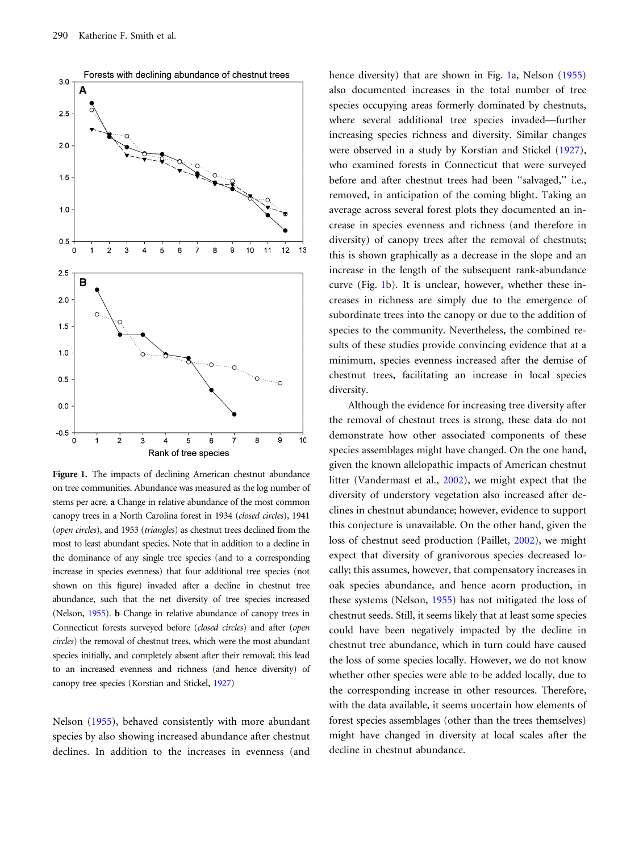<span id="page-3-0"></span>

Figure 1. The impacts of declining American chestnut abundance on tree communities. Abundance was measured as the log number of stems per acre. a Change in relative abundance of the most common canopy trees in a North Carolina forest in 1934 (closed circles), 1941 (open circles), and 1953 (triangles) as chestnut trees declined from the most to least abundant species. Note that in addition to a decline in the dominance of any single tree species (and to a corresponding increase in species evenness) that four additional tree species (not shown on this figure) invaded after a decline in chestnut tree abundance, such that the net diversity of tree species increased (Nelson, [1955](#page-8-0)). b Change in relative abundance of canopy trees in Connecticut forests surveyed before (closed circles) and after (open circles) the removal of chestnut trees, which were the most abundant species initially, and completely absent after their removal; this lead to an increased evenness and richness (and hence diversity) of canopy tree species (Korstian and Stickel, [1927\)](#page-7-0)

Nelson ([1955\)](#page-8-0), behaved consistently with more abundant species by also showing increased abundance after chestnut declines. In addition to the increases in evenness (and

hence diversity) that are shown in Fig. 1a, Nelson [\(1955](#page-8-0)) also documented increases in the total number of tree species occupying areas formerly dominated by chestnuts, where several additional tree species invaded—further increasing species richness and diversity. Similar changes were observed in a study by Korstian and Stickel ([1927\)](#page-7-0), who examined forests in Connecticut that were surveyed before and after chestnut trees had been ''salvaged,'' i.e., removed, in anticipation of the coming blight. Taking an average across several forest plots they documented an increase in species evenness and richness (and therefore in diversity) of canopy trees after the removal of chestnuts; this is shown graphically as a decrease in the slope and an increase in the length of the subsequent rank-abundance curve (Fig. 1b). It is unclear, however, whether these increases in richness are simply due to the emergence of subordinate trees into the canopy or due to the addition of species to the community. Nevertheless, the combined results of these studies provide convincing evidence that at a minimum, species evenness increased after the demise of chestnut trees, facilitating an increase in local species diversity.

Although the evidence for increasing tree diversity after the removal of chestnut trees is strong, these data do not demonstrate how other associated components of these species assemblages might have changed. On the one hand, given the known allelopathic impacts of American chestnut litter (Vandermast et al., [2002\)](#page-8-0), we might expect that the diversity of understory vegetation also increased after declines in chestnut abundance; however, evidence to support this conjecture is unavailable. On the other hand, given the loss of chestnut seed production (Paillet, [2002](#page-8-0)), we might expect that diversity of granivorous species decreased locally; this assumes, however, that compensatory increases in oak species abundance, and hence acorn production, in these systems (Nelson, [1955](#page-8-0)) has not mitigated the loss of chestnut seeds. Still, it seems likely that at least some species could have been negatively impacted by the decline in chestnut tree abundance, which in turn could have caused the loss of some species locally. However, we do not know whether other species were able to be added locally, due to the corresponding increase in other resources. Therefore, with the data available, it seems uncertain how elements of forest species assemblages (other than the trees themselves) might have changed in diversity at local scales after the decline in chestnut abundance.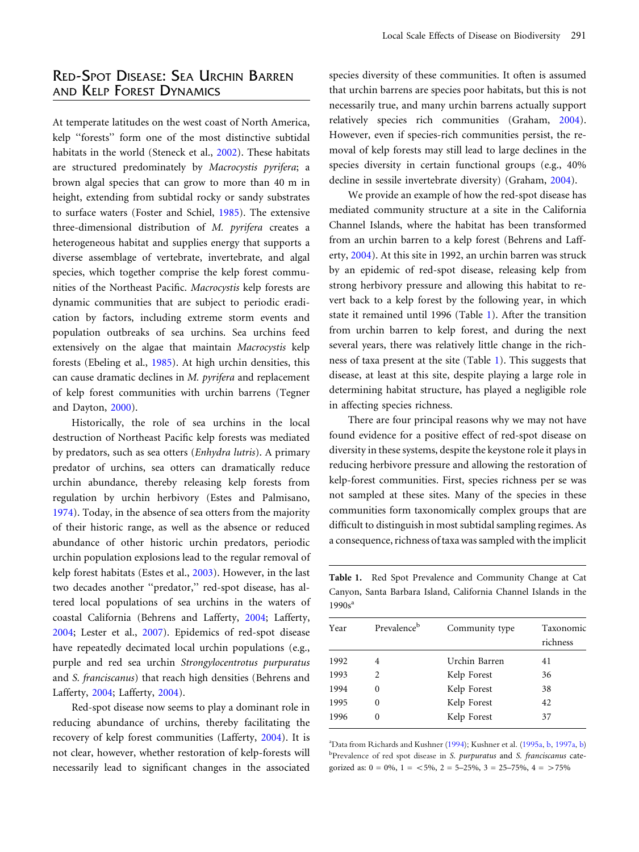# RED-SPOT DISEASE: SEA URCHIN BARREN AND KELP FOREST DYNAMICS

At temperate latitudes on the west coast of North America, kelp ''forests'' form one of the most distinctive subtidal habitats in the world (Steneck et al., [2002](#page-8-0)). These habitats are structured predominately by Macrocystis pyrifera; a brown algal species that can grow to more than 40 m in height, extending from subtidal rocky or sandy substrates to surface waters (Foster and Schiel, [1985](#page-7-0)). The extensive three-dimensional distribution of M. pyrifera creates a heterogeneous habitat and supplies energy that supports a diverse assemblage of vertebrate, invertebrate, and algal species, which together comprise the kelp forest communities of the Northeast Pacific. Macrocystis kelp forests are dynamic communities that are subject to periodic eradication by factors, including extreme storm events and population outbreaks of sea urchins. Sea urchins feed extensively on the algae that maintain Macrocystis kelp forests (Ebeling et al., [1985\)](#page-7-0). At high urchin densities, this can cause dramatic declines in M. pyrifera and replacement of kelp forest communities with urchin barrens (Tegner and Dayton, [2000](#page-8-0)).

Historically, the role of sea urchins in the local destruction of Northeast Pacific kelp forests was mediated by predators, such as sea otters (Enhydra lutris). A primary predator of urchins, sea otters can dramatically reduce urchin abundance, thereby releasing kelp forests from regulation by urchin herbivory (Estes and Palmisano, [1974](#page-7-0)). Today, in the absence of sea otters from the majority of their historic range, as well as the absence or reduced abundance of other historic urchin predators, periodic urchin population explosions lead to the regular removal of kelp forest habitats (Estes et al., [2003](#page-7-0)). However, in the last two decades another ''predator,'' red-spot disease, has altered local populations of sea urchins in the waters of coastal California (Behrens and Lafferty, [2004;](#page-7-0) Lafferty, [2004](#page-7-0); Lester et al., [2007](#page-8-0)). Epidemics of red-spot disease have repeatedly decimated local urchin populations (e.g., purple and red sea urchin Strongylocentrotus purpuratus and S. franciscanus) that reach high densities (Behrens and Lafferty, [2004;](#page-7-0) Lafferty, [2004](#page-7-0)).

Red-spot disease now seems to play a dominant role in reducing abundance of urchins, thereby facilitating the recovery of kelp forest communities (Lafferty, [2004\)](#page-7-0). It is not clear, however, whether restoration of kelp-forests will necessarily lead to significant changes in the associated

species diversity of these communities. It often is assumed that urchin barrens are species poor habitats, but this is not necessarily true, and many urchin barrens actually support relatively species rich communities (Graham, [2004\)](#page-7-0). However, even if species-rich communities persist, the removal of kelp forests may still lead to large declines in the species diversity in certain functional groups (e.g., 40% decline in sessile invertebrate diversity) (Graham, [2004\)](#page-7-0).

We provide an example of how the red-spot disease has mediated community structure at a site in the California Channel Islands, where the habitat has been transformed from an urchin barren to a kelp forest (Behrens and Lafferty, [2004](#page-7-0)). At this site in 1992, an urchin barren was struck by an epidemic of red-spot disease, releasing kelp from strong herbivory pressure and allowing this habitat to revert back to a kelp forest by the following year, in which state it remained until 1996 (Table 1). After the transition from urchin barren to kelp forest, and during the next several years, there was relatively little change in the richness of taxa present at the site (Table 1). This suggests that disease, at least at this site, despite playing a large role in determining habitat structure, has played a negligible role in affecting species richness.

There are four principal reasons why we may not have found evidence for a positive effect of red-spot disease on diversity in these systems, despite the keystone role it plays in reducing herbivore pressure and allowing the restoration of kelp-forest communities. First, species richness per se was not sampled at these sites. Many of the species in these communities form taxonomically complex groups that are difficult to distinguish in most subtidal sampling regimes. As a consequence, richness of taxa was sampled with the implicit

Table 1. Red Spot Prevalence and Community Change at Cat Canyon, Santa Barbara Island, California Channel Islands in the  $1990s<sup>a</sup>$ 

| Taxonomic<br>Community type<br>richness |
|-----------------------------------------|
| Urchin Barren<br>41                     |
| 36                                      |
| 38                                      |
| 42                                      |
| 37                                      |
|                                         |

a Data from Richards and Kushner ([1994\)](#page-8-0); Kushner et al. [\(1995a](#page-7-0), [b](#page-7-0), [1997a,](#page-7-0) [b\)](#page-7-0) <sup>b</sup>Prevalence of red spot disease in S. purpuratus and S. franciscanus categorized as:  $0 = 0\%, 1 = 5\%, 2 = 5-25\%, 3 = 25-75\%, 4 = 75\%$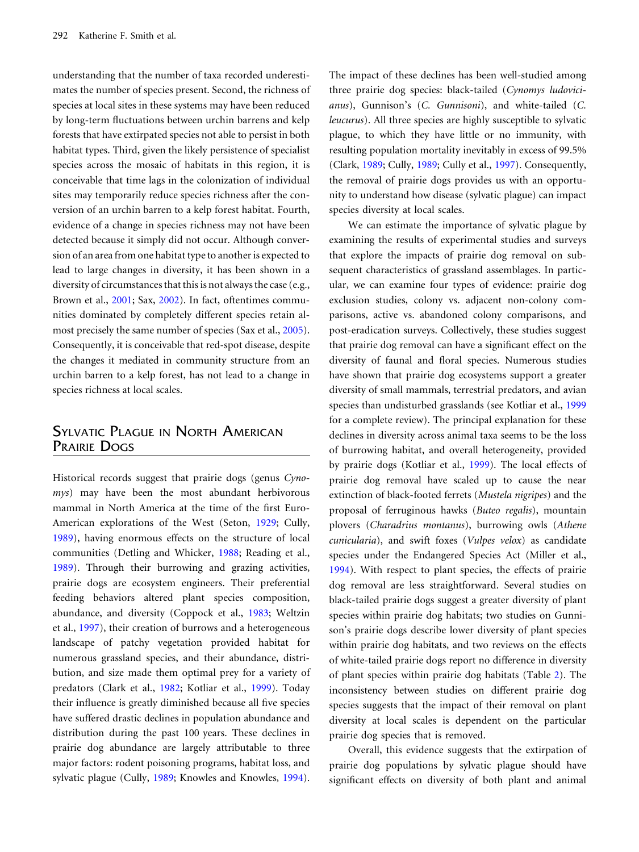understanding that the number of taxa recorded underestimates the number of species present. Second, the richness of species at local sites in these systems may have been reduced by long-term fluctuations between urchin barrens and kelp forests that have extirpated species not able to persist in both habitat types. Third, given the likely persistence of specialist species across the mosaic of habitats in this region, it is conceivable that time lags in the colonization of individual sites may temporarily reduce species richness after the conversion of an urchin barren to a kelp forest habitat. Fourth, evidence of a change in species richness may not have been detected because it simply did not occur. Although conversion of an area from one habitat type to another is expected to lead to large changes in diversity, it has been shown in a diversity of circumstances that this is not always the case (e.g., Brown et al., [2001;](#page-7-0) Sax, [2002\)](#page-8-0). In fact, oftentimes communities dominated by completely different species retain almost precisely the same number of species (Sax et al., [2005\)](#page-8-0). Consequently, it is conceivable that red-spot disease, despite the changes it mediated in community structure from an urchin barren to a kelp forest, has not lead to a change in species richness at local scales.

# SYLVATIC PLAGUE IN NORTH AMERICAN PRAIRIE DOGS

Historical records suggest that prairie dogs (genus Cynomys) may have been the most abundant herbivorous mammal in North America at the time of the first Euro-American explorations of the West (Seton, [1929;](#page-8-0) Cully, [1989](#page-7-0)), having enormous effects on the structure of local communities (Detling and Whicker, [1988](#page-7-0); Reading et al., [1989](#page-8-0)). Through their burrowing and grazing activities, prairie dogs are ecosystem engineers. Their preferential feeding behaviors altered plant species composition, abundance, and diversity (Coppock et al., [1983;](#page-7-0) Weltzin et al., [1997](#page-8-0)), their creation of burrows and a heterogeneous landscape of patchy vegetation provided habitat for numerous grassland species, and their abundance, distribution, and size made them optimal prey for a variety of predators (Clark et al., [1982](#page-7-0); Kotliar et al., [1999](#page-7-0)). Today their influence is greatly diminished because all five species have suffered drastic declines in population abundance and distribution during the past 100 years. These declines in prairie dog abundance are largely attributable to three major factors: rodent poisoning programs, habitat loss, and sylvatic plague (Cully, [1989](#page-7-0); Knowles and Knowles, [1994\)](#page-7-0).

The impact of these declines has been well-studied among three prairie dog species: black-tailed (Cynomys ludovicianus), Gunnison's (C. Gunnisoni), and white-tailed (C. leucurus). All three species are highly susceptible to sylvatic plague, to which they have little or no immunity, with resulting population mortality inevitably in excess of 99.5% (Clark, [1989;](#page-7-0) Cully, [1989](#page-7-0); Cully et al., [1997\)](#page-7-0). Consequently, the removal of prairie dogs provides us with an opportunity to understand how disease (sylvatic plague) can impact species diversity at local scales.

We can estimate the importance of sylvatic plague by examining the results of experimental studies and surveys that explore the impacts of prairie dog removal on subsequent characteristics of grassland assemblages. In particular, we can examine four types of evidence: prairie dog exclusion studies, colony vs. adjacent non-colony comparisons, active vs. abandoned colony comparisons, and post-eradication surveys. Collectively, these studies suggest that prairie dog removal can have a significant effect on the diversity of faunal and floral species. Numerous studies have shown that prairie dog ecosystems support a greater diversity of small mammals, terrestrial predators, and avian species than undisturbed grasslands (see Kotliar et al., [1999](#page-7-0) for a complete review). The principal explanation for these declines in diversity across animal taxa seems to be the loss of burrowing habitat, and overall heterogeneity, provided by prairie dogs (Kotliar et al., [1999](#page-7-0)). The local effects of prairie dog removal have scaled up to cause the near extinction of black-footed ferrets (Mustela nigripes) and the proposal of ferruginous hawks (Buteo regalis), mountain plovers (Charadrius montanus), burrowing owls (Athene cunicularia), and swift foxes (Vulpes velox) as candidate species under the Endangered Species Act (Miller et al., [1994](#page-8-0)). With respect to plant species, the effects of prairie dog removal are less straightforward. Several studies on black-tailed prairie dogs suggest a greater diversity of plant species within prairie dog habitats; two studies on Gunnison's prairie dogs describe lower diversity of plant species within prairie dog habitats, and two reviews on the effects of white-tailed prairie dogs report no difference in diversity of plant species within prairie dog habitats (Table [2\)](#page-6-0). The inconsistency between studies on different prairie dog species suggests that the impact of their removal on plant diversity at local scales is dependent on the particular prairie dog species that is removed.

Overall, this evidence suggests that the extirpation of prairie dog populations by sylvatic plague should have significant effects on diversity of both plant and animal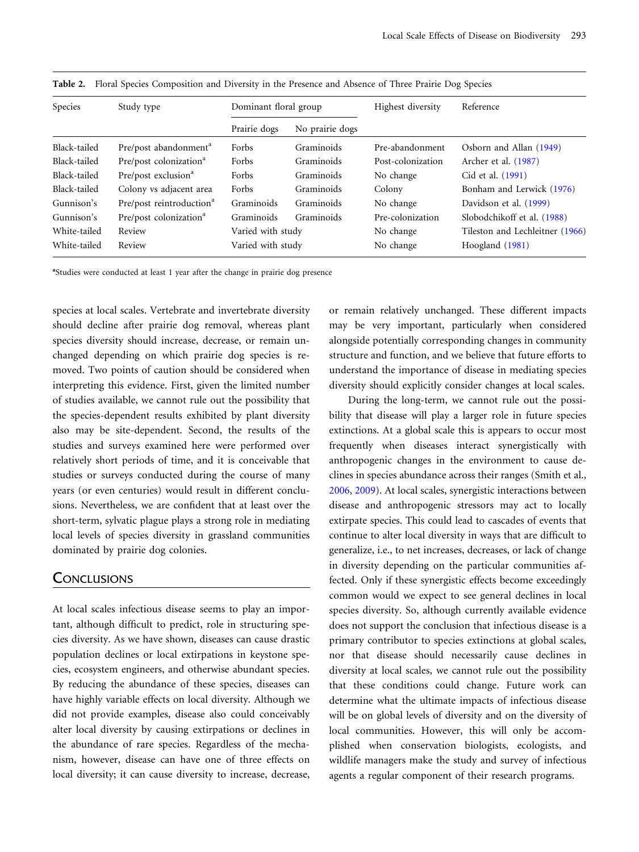| Species      | Study type                           | Dominant floral group |                 | Highest diversity | Reference                       |
|--------------|--------------------------------------|-----------------------|-----------------|-------------------|---------------------------------|
|              |                                      | Prairie dogs          | No prairie dogs |                   |                                 |
| Black-tailed | Pre/post abandonment <sup>a</sup>    | Forbs                 | Graminoids      | Pre-abandonment   | Osborn and Allan (1949)         |
| Black-tailed | Pre/post colonization <sup>a</sup>   | Forbs                 | Graminoids      | Post-colonization | Archer et al. (1987)            |
| Black-tailed | Pre/post exclusion <sup>a</sup>      | Forbs                 | Graminoids      | No change         | Cid et al. (1991)               |
| Black-tailed | Colony vs adjacent area              | Forbs                 | Graminoids      | Colony            | Bonham and Lerwick (1976)       |
| Gunnison's   | Pre/post reintroduction <sup>a</sup> | Graminoids            | Graminoids      | No change         | Davidson et al. (1999)          |
| Gunnison's   | Pre/post colonization <sup>a</sup>   | Graminoids            | Graminoids      | Pre-colonization  | Slobodchikoff et al. (1988)     |
| White-tailed | Review                               | Varied with study     |                 | No change         | Tileston and Lechleitner (1966) |
| White-tailed | Review                               | Varied with study     |                 | No change         | Hoogland (1981)                 |

<span id="page-6-0"></span>Table 2. Floral Species Composition and Diversity in the Presence and Absence of Three Prairie Dog Species

<sup>a</sup>Studies were conducted at least 1 year after the change in prairie dog presence

species at local scales. Vertebrate and invertebrate diversity should decline after prairie dog removal, whereas plant species diversity should increase, decrease, or remain unchanged depending on which prairie dog species is removed. Two points of caution should be considered when interpreting this evidence. First, given the limited number of studies available, we cannot rule out the possibility that the species-dependent results exhibited by plant diversity also may be site-dependent. Second, the results of the studies and surveys examined here were performed over relatively short periods of time, and it is conceivable that studies or surveys conducted during the course of many years (or even centuries) would result in different conclusions. Nevertheless, we are confident that at least over the short-term, sylvatic plague plays a strong role in mediating local levels of species diversity in grassland communities dominated by prairie dog colonies.

#### **CONCLUSIONS**

At local scales infectious disease seems to play an important, although difficult to predict, role in structuring species diversity. As we have shown, diseases can cause drastic population declines or local extirpations in keystone species, ecosystem engineers, and otherwise abundant species. By reducing the abundance of these species, diseases can have highly variable effects on local diversity. Although we did not provide examples, disease also could conceivably alter local diversity by causing extirpations or declines in the abundance of rare species. Regardless of the mechanism, however, disease can have one of three effects on local diversity; it can cause diversity to increase, decrease,

or remain relatively unchanged. These different impacts may be very important, particularly when considered alongside potentially corresponding changes in community structure and function, and we believe that future efforts to understand the importance of disease in mediating species diversity should explicitly consider changes at local scales.

During the long-term, we cannot rule out the possibility that disease will play a larger role in future species extinctions. At a global scale this is appears to occur most frequently when diseases interact synergistically with anthropogenic changes in the environment to cause declines in species abundance across their ranges (Smith et al., [2006](#page-8-0), [2009](#page-8-0)). At local scales, synergistic interactions between disease and anthropogenic stressors may act to locally extirpate species. This could lead to cascades of events that continue to alter local diversity in ways that are difficult to generalize, i.e., to net increases, decreases, or lack of change in diversity depending on the particular communities affected. Only if these synergistic effects become exceedingly common would we expect to see general declines in local species diversity. So, although currently available evidence does not support the conclusion that infectious disease is a primary contributor to species extinctions at global scales, nor that disease should necessarily cause declines in diversity at local scales, we cannot rule out the possibility that these conditions could change. Future work can determine what the ultimate impacts of infectious disease will be on global levels of diversity and on the diversity of local communities. However, this will only be accomplished when conservation biologists, ecologists, and wildlife managers make the study and survey of infectious agents a regular component of their research programs.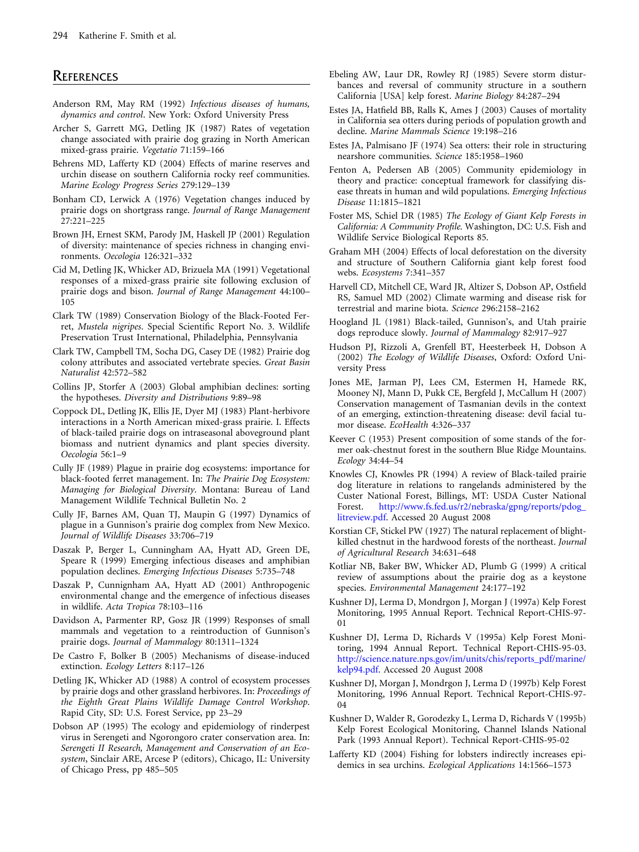### <span id="page-7-0"></span>**REFERENCES**

- Anderson RM, May RM (1992) Infectious diseases of humans, dynamics and control. New York: Oxford University Press
- Archer S, Garrett MG, Detling JK (1987) Rates of vegetation change associated with prairie dog grazing in North American mixed-grass prairie. Vegetatio 71:159–166
- Behrens MD, Lafferty KD (2004) Effects of marine reserves and urchin disease on southern California rocky reef communities. Marine Ecology Progress Series 279:129–139
- Bonham CD, Lerwick A (1976) Vegetation changes induced by prairie dogs on shortgrass range. Journal of Range Management 27:221–225
- Brown JH, Ernest SKM, Parody JM, Haskell JP (2001) Regulation of diversity: maintenance of species richness in changing environments. Oecologia 126:321–332
- Cid M, Detling JK, Whicker AD, Brizuela MA (1991) Vegetational responses of a mixed-grass prairie site following exclusion of prairie dogs and bison. Journal of Range Management 44:100– 105
- Clark TW (1989) Conservation Biology of the Black-Footed Ferret, Mustela nigripes. Special Scientific Report No. 3. Wildlife Preservation Trust International, Philadelphia, Pennsylvania
- Clark TW, Campbell TM, Socha DG, Casey DE (1982) Prairie dog colony attributes and associated vertebrate species. Great Basin Naturalist 42:572–582
- Collins JP, Storfer A (2003) Global amphibian declines: sorting the hypotheses. Diversity and Distributions 9:89–98
- Coppock DL, Detling JK, Ellis JE, Dyer MJ (1983) Plant-herbivore interactions in a North American mixed-grass prairie. I. Effects of black-tailed prairie dogs on intraseasonal aboveground plant biomass and nutrient dynamics and plant species diversity. Oecologia 56:1–9
- Cully JF (1989) Plague in prairie dog ecosystems: importance for black-footed ferret management. In: The Prairie Dog Ecosystem: Managing for Biological Diversity. Montana: Bureau of Land Management Wildlife Technical Bulletin No. 2
- Cully JF, Barnes AM, Quan TJ, Maupin G (1997) Dynamics of plague in a Gunnison's prairie dog complex from New Mexico. Journal of Wildlife Diseases 33:706–719
- Daszak P, Berger L, Cunningham AA, Hyatt AD, Green DE, Speare R (1999) Emerging infectious diseases and amphibian population declines. Emerging Infectious Diseases 5:735–748
- Daszak P, Cunnignham AA, Hyatt AD (2001) Anthropogenic environmental change and the emergence of infectious diseases in wildlife. Acta Tropica 78:103–116
- Davidson A, Parmenter RP, Gosz JR (1999) Responses of small mammals and vegetation to a reintroduction of Gunnison's prairie dogs. Journal of Mammalogy 80:1311–1324
- De Castro F, Bolker B (2005) Mechanisms of disease-induced extinction. Ecology Letters 8:117–126
- Detling JK, Whicker AD (1988) A control of ecosystem processes by prairie dogs and other grassland herbivores. In: Proceedings of the Eighth Great Plains Wildlife Damage Control Workshop. Rapid City, SD: U.S. Forest Service, pp 23–29
- Dobson AP (1995) The ecology and epidemiology of rinderpest virus in Serengeti and Ngorongoro crater conservation area. In: Serengeti II Research, Management and Conservation of an Ecosystem, Sinclair ARE, Arcese P (editors), Chicago, IL: University of Chicago Press, pp 485–505
- Ebeling AW, Laur DR, Rowley RJ (1985) Severe storm disturbances and reversal of community structure in a southern California [USA] kelp forest. Marine Biology 84:287–294
- Estes JA, Hatfield BB, Ralls K, Ames J (2003) Causes of mortality in California sea otters during periods of population growth and decline. Marine Mammals Science 19:198–216
- Estes JA, Palmisano JF (1974) Sea otters: their role in structuring nearshore communities. Science 185:1958–1960
- Fenton A, Pedersen AB (2005) Community epidemiology in theory and practice: conceptual framework for classifying disease threats in human and wild populations. Emerging Infectious Disease 11:1815–1821
- Foster MS, Schiel DR (1985) The Ecology of Giant Kelp Forests in California: A Community Profile. Washington, DC: U.S. Fish and Wildlife Service Biological Reports 85.
- Graham MH (2004) Effects of local deforestation on the diversity and structure of Southern California giant kelp forest food webs. Ecosystems 7:341–357
- Harvell CD, Mitchell CE, Ward JR, Altizer S, Dobson AP, Ostfield RS, Samuel MD (2002) Climate warming and disease risk for terrestrial and marine biota. Science 296:2158–2162
- Hoogland JL (1981) Black-tailed, Gunnison's, and Utah prairie dogs reproduce slowly. Journal of Mammalogy 82:917–927
- Hudson PJ, Rizzoli A, Grenfell BT, Heesterbeek H, Dobson A (2002) The Ecology of Wildlife Diseases, Oxford: Oxford University Press
- Jones ME, Jarman PJ, Lees CM, Estermen H, Hamede RK, Mooney NJ, Mann D, Pukk CE, Bergfeld J, McCallum H (2007) Conservation management of Tasmanian devils in the context of an emerging, extinction-threatening disease: devil facial tumor disease. EcoHealth 4:326–337
- Keever C (1953) Present composition of some stands of the former oak-chestnut forest in the southern Blue Ridge Mountains. Ecology 34:44–54
- Knowles CJ, Knowles PR (1994) A review of Black-tailed prairie dog literature in relations to rangelands administered by the Custer National Forest, Billings, MT: USDA Custer National Forest. [http://www.fs.fed.us/r2/nebraska/gpng/reports/pdog\\_](http://www.fs.fed.us/r2/nebraska/gpng/reports/pdog_litreview.pdf) [litreview.pdf.](http://www.fs.fed.us/r2/nebraska/gpng/reports/pdog_litreview.pdf) Accessed 20 August 2008
- Korstian CF, Stickel PW (1927) The natural replacement of blightkilled chestnut in the hardwood forests of the northeast. Journal of Agricultural Research 34:631–648
- Kotliar NB, Baker BW, Whicker AD, Plumb G (1999) A critical review of assumptions about the prairie dog as a keystone species. Environmental Management 24:177–192
- Kushner DJ, Lerma D, Mondrgon J, Morgan J (1997a) Kelp Forest Monitoring, 1995 Annual Report. Technical Report-CHIS-97- 01
- Kushner DJ, Lerma D, Richards V (1995a) Kelp Forest Monitoring, 1994 Annual Report. Technical Report-CHIS-95-03. [http://science.nature.nps.gov/im/units/chis/reports\\_pdf/marine/](http://science.nature.nps.gov/im/units/chis/reports_pdf/marine/kelp94.pdf) [kelp94.pdf.](http://science.nature.nps.gov/im/units/chis/reports_pdf/marine/kelp94.pdf) Accessed 20 August 2008
- Kushner DJ, Morgan J, Mondrgon J, Lerma D (1997b) Kelp Forest Monitoring, 1996 Annual Report. Technical Report-CHIS-97- 04
- Kushner D, Walder R, Gorodezky L, Lerma D, Richards V (1995b) Kelp Forest Ecological Monitoring, Channel Islands National Park (1993 Annual Report). Technical Report-CHIS-95-02
- Lafferty KD (2004) Fishing for lobsters indirectly increases epidemics in sea urchins. Ecological Applications 14:1566–1573